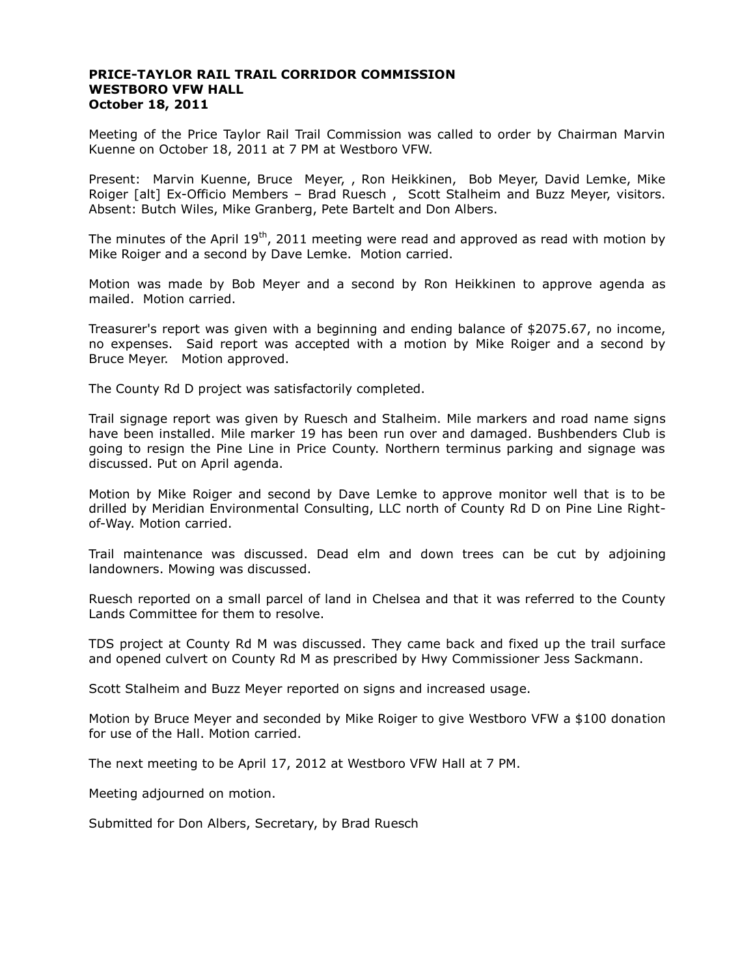## **PRICE-TAYLOR RAIL TRAIL CORRIDOR COMMISSION WESTBORO VFW HALL October 18, 2011**

Meeting of the Price Taylor Rail Trail Commission was called to order by Chairman Marvin Kuenne on October 18, 2011 at 7 PM at Westboro VFW.

Present: Marvin Kuenne, Bruce Meyer, , Ron Heikkinen, Bob Meyer, David Lemke, Mike Roiger [alt] Ex-Officio Members – Brad Ruesch , Scott Stalheim and Buzz Meyer, visitors. Absent: Butch Wiles, Mike Granberg, Pete Bartelt and Don Albers.

The minutes of the April 19<sup>th</sup>, 2011 meeting were read and approved as read with motion by Mike Roiger and a second by Dave Lemke. Motion carried.

Motion was made by Bob Meyer and a second by Ron Heikkinen to approve agenda as mailed. Motion carried.

Treasurer's report was given with a beginning and ending balance of \$2075.67, no income, no expenses. Said report was accepted with a motion by Mike Roiger and a second by Bruce Meyer. Motion approved.

The County Rd D project was satisfactorily completed.

Trail signage report was given by Ruesch and Stalheim. Mile markers and road name signs have been installed. Mile marker 19 has been run over and damaged. Bushbenders Club is going to resign the Pine Line in Price County. Northern terminus parking and signage was discussed. Put on April agenda.

Motion by Mike Roiger and second by Dave Lemke to approve monitor well that is to be drilled by Meridian Environmental Consulting, LLC north of County Rd D on Pine Line Rightof-Way. Motion carried.

Trail maintenance was discussed. Dead elm and down trees can be cut by adjoining landowners. Mowing was discussed.

Ruesch reported on a small parcel of land in Chelsea and that it was referred to the County Lands Committee for them to resolve.

TDS project at County Rd M was discussed. They came back and fixed up the trail surface and opened culvert on County Rd M as prescribed by Hwy Commissioner Jess Sackmann.

Scott Stalheim and Buzz Meyer reported on signs and increased usage.

Motion by Bruce Meyer and seconded by Mike Roiger to give Westboro VFW a \$100 donation for use of the Hall. Motion carried.

The next meeting to be April 17, 2012 at Westboro VFW Hall at 7 PM.

Meeting adjourned on motion.

Submitted for Don Albers, Secretary, by Brad Ruesch